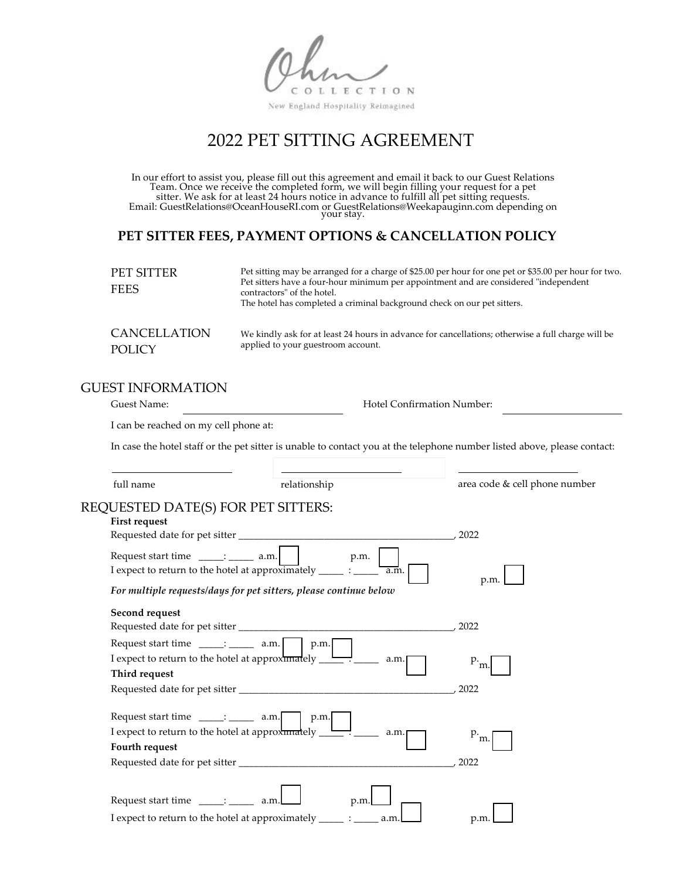OLLECTION

New England Hospitality Reimagined

# 2022 PET SITTING AGREEMENT

In our effort to assist you, please fill out this agreement and email it back to our Guest Relations Team. Once we receive the completed form, we will begin filling your request for a pet sitter. We ask for at least 24 hours notice in advance to fulfill all pet sitting requests. Email: GuestRelations@OceanHouseRI.com or GuestRelations@Weekapauginn.com depending on your stay.

### **PET SITTER FEES, PAYMENT OPTIONS & CANCELLATION POLICY**

| PET SITTER<br><b>FEES</b> | Pet sitting may be arranged for a charge of \$25.00 per hour for one pet or \$35.00 per hour for two.<br>Pet sitters have a four-hour minimum per appointment and are considered "independent"<br>contractors" of the hotel.<br>The hotel has completed a criminal background check on our pet sitters. |  |
|---------------------------|---------------------------------------------------------------------------------------------------------------------------------------------------------------------------------------------------------------------------------------------------------------------------------------------------------|--|
| CANCELLATION              | We kindly ask for at least 24 hours in advance for cancellations; otherwise a full charge will be                                                                                                                                                                                                       |  |
| <b>POLICY</b>             | applied to your guestroom account.                                                                                                                                                                                                                                                                      |  |

### GUEST INFORMATION

| Guest Name: |
|-------------|
|             |

Hotel Confirmation Number:

I can be reached on my cell phone at:

In case the hotel staff or the pet sitter is unable to contact you at the telephone number listed above, please contact:

full name **relationship** area code & cell phone number

#### REQUESTED DATE(S) FOR PET SITTERS: **First request**

| <b>FIFST request</b>                                                                                                                                               |                  |
|--------------------------------------------------------------------------------------------------------------------------------------------------------------------|------------------|
|                                                                                                                                                                    | 2022             |
| p.m.<br>I expect to return to the hotel at approximately ______ : ______<br>a.m.<br>For multiple requests/days for pet sitters, please continue below              | p.m.             |
| Second request                                                                                                                                                     |                  |
|                                                                                                                                                                    | 2022             |
| Request start time $\frac{1}{\sqrt{2}}$ a.m.<br>p.m.<br>I expect to return to the hotel at approximately $\rightharpoonup$<br>a.m.<br>Third request                | p.<br>m.<br>2022 |
| Request start time $\frac{1}{\sqrt{2}}$ a.m.<br>p.m.<br>I expect to return to the hotel at approximately $\rule{1em}{0.15mm}$ = $\qquad$<br>a.m.<br>Fourth request | m.<br>2022       |
| Request start time _____: _____<br>a.m<br>p.m.<br>I expect to return to the hotel at approximately<br>a.m                                                          | p.m.             |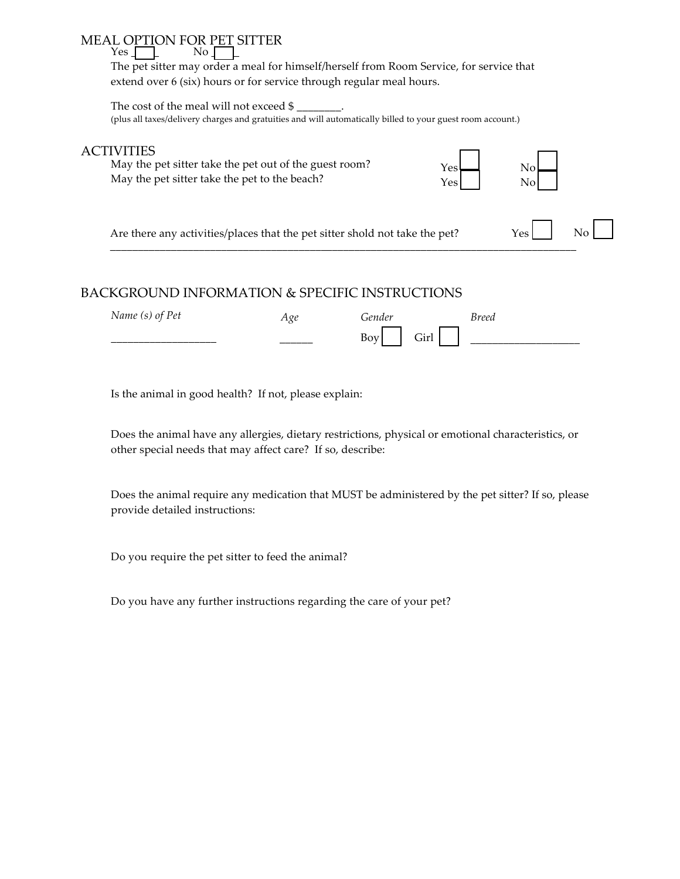#### MEAL OPTION FOR PET SITTER<br>
Yes  $Yes<sub>l</sub>$

The pet sitter may order a meal for himself/herself from Room Service, for service that extend over 6 (six) hours or for service through regular meal hours.

The cost of the meal will not exceed  $\frac{1}{2}$ (plus all taxes/delivery charges and gratuities and will automatically billed to your guest room account.)

### ACTIVITIES

May the pet sitter take the pet out of the guest room? May the pet sitter take the pet to the beach?



Are there any activities/places that the pet sitter shold not take the pet? Yes No

## BACKGROUND INFORMATION & SPECIFIC INSTRUCTIONS

| $\mathbf{N}$<br>Pet<br>0.1110<br>$1$ V $\mu$ I<br>ιυ,<br>v | $\alpha$<br>2 1 X<br>் | $\alpha$                                 | 1000c |
|------------------------------------------------------------|------------------------|------------------------------------------|-------|
| _______________________                                    | ________               | $\sim$ .<br><b>D</b><br>'n m<br>UП<br>υv |       |

––––––––––––––––––––––––––––––––––––––––––––––––––––––––––––––––––––––––––––––––––––

Is the animal in good health? If not, please explain:

Does the animal have any allergies, dietary restrictions, physical or emotional characteristics, or other special needs that may affect care? If so, describe:

Does the animal require any medication that MUST be administered by the pet sitter? If so, please provide detailed instructions:

Do you require the pet sitter to feed the animal?

Do you have any further instructions regarding the care of your pet?